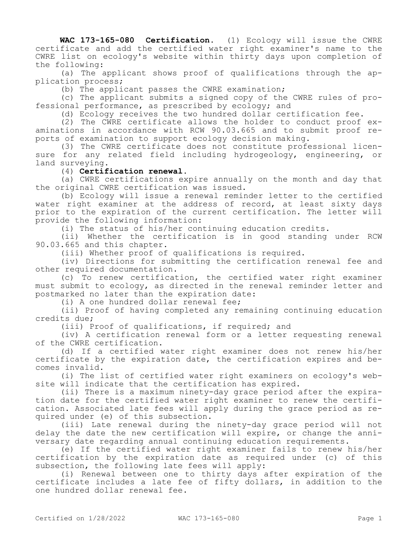**WAC 173-165-080 Certification.** (1) Ecology will issue the CWRE certificate and add the certified water right examiner's name to the CWRE list on ecology's website within thirty days upon completion of the following:

(a) The applicant shows proof of qualifications through the application process;

(b) The applicant passes the CWRE examination;

(c) The applicant submits a signed copy of the CWRE rules of professional performance, as prescribed by ecology; and

(d) Ecology receives the two hundred dollar certification fee.

(2) The CWRE certificate allows the holder to conduct proof examinations in accordance with RCW 90.03.665 and to submit proof reports of examination to support ecology decision making.

(3) The CWRE certificate does not constitute professional licensure for any related field including hydrogeology, engineering, or land surveying.

(4) **Certification renewal.**

(a) CWRE certifications expire annually on the month and day that the original CWRE certification was issued.

(b) Ecology will issue a renewal reminder letter to the certified water right examiner at the address of record, at least sixty days prior to the expiration of the current certification. The letter will provide the following information:

(i) The status of his/her continuing education credits.

(ii) Whether the certification is in good standing under RCW 90.03.665 and this chapter.

(iii) Whether proof of qualifications is required.

(iv) Directions for submitting the certification renewal fee and other required documentation.

(c) To renew certification, the certified water right examiner must submit to ecology, as directed in the renewal reminder letter and postmarked no later than the expiration date:

(i) A one hundred dollar renewal fee;

(ii) Proof of having completed any remaining continuing education credits due;

(iii) Proof of qualifications, if required; and

(iv) A certification renewal form or a letter requesting renewal of the CWRE certification.

(d) If a certified water right examiner does not renew his/her certificate by the expiration date, the certification expires and becomes invalid.

(i) The list of certified water right examiners on ecology's website will indicate that the certification has expired.

(ii) There is a maximum ninety-day grace period after the expiration date for the certified water right examiner to renew the certification. Associated late fees will apply during the grace period as required under (e) of this subsection.

(iii) Late renewal during the ninety-day grace period will not delay the date the new certification will expire, or change the anniversary date regarding annual continuing education requirements.

(e) If the certified water right examiner fails to renew his/her certification by the expiration date as required under (c) of this subsection, the following late fees will apply:

(i) Renewal between one to thirty days after expiration of the certificate includes a late fee of fifty dollars, in addition to the one hundred dollar renewal fee.